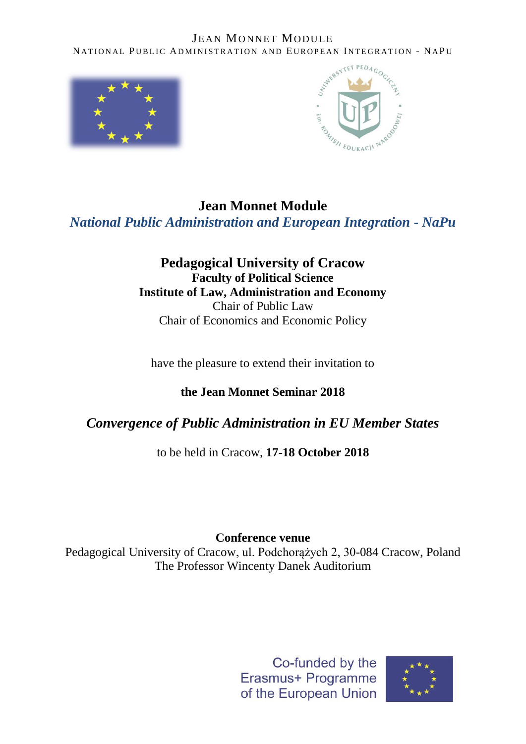



# **Jean Monnet Module** *National Public Administration and European Integration - NaPu*

### **Pedagogical University of Cracow Faculty of Political Science Institute of Law, Administration and Economy**  Chair of Public Law Chair of Economics and Economic Policy

have the pleasure to extend their invitation to

**the Jean Monnet Seminar 2018**

# *Convergence of Public Administration in EU Member States*

to be held in Cracow, **17-18 October 2018**

## **Conference venue**

Pedagogical University of Cracow, ul. Podchorążych 2, 30-084 Cracow, Poland The Professor Wincenty Danek Auditorium



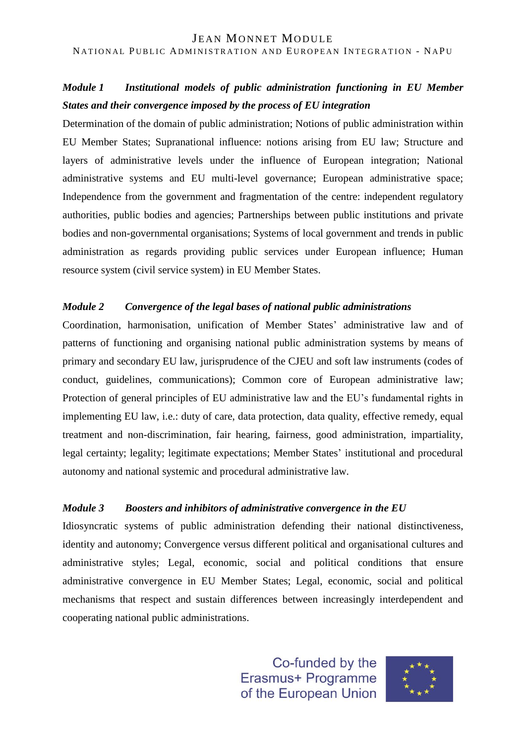### *Module 1 Institutional models of public administration functioning in EU Member States and their convergence imposed by the process of EU integration*

Determination of the domain of public administration; Notions of public administration within EU Member States; Supranational influence: notions arising from EU law; Structure and layers of administrative levels under the influence of European integration; National administrative systems and EU multi-level governance; European administrative space; Independence from the government and fragmentation of the centre: independent regulatory authorities, public bodies and agencies; Partnerships between public institutions and private bodies and non-governmental organisations; Systems of local government and trends in public administration as regards providing public services under European influence; Human resource system (civil service system) in EU Member States.

#### *Module 2 Convergence of the legal bases of national public administrations*

Coordination, harmonisation, unification of Member States' administrative law and of patterns of functioning and organising national public administration systems by means of primary and secondary EU law, jurisprudence of the CJEU and soft law instruments (codes of conduct, guidelines, communications); Common core of European administrative law; Protection of general principles of EU administrative law and the EU's fundamental rights in implementing EU law, i.e.: duty of care, data protection, data quality, effective remedy, equal treatment and non-discrimination, fair hearing, fairness, good administration, impartiality, legal certainty; legality; legitimate expectations; Member States' institutional and procedural autonomy and national systemic and procedural administrative law.

### *Module 3 Boosters and inhibitors of administrative convergence in the EU*

Idiosyncratic systems of public administration defending their national distinctiveness, identity and autonomy; Convergence versus different political and organisational cultures and administrative styles; Legal, economic, social and political conditions that ensure administrative convergence in EU Member States; Legal, economic, social and political mechanisms that respect and sustain differences between increasingly interdependent and cooperating national public administrations.

> Co-funded by the Erasmus+ Programme of the European Union

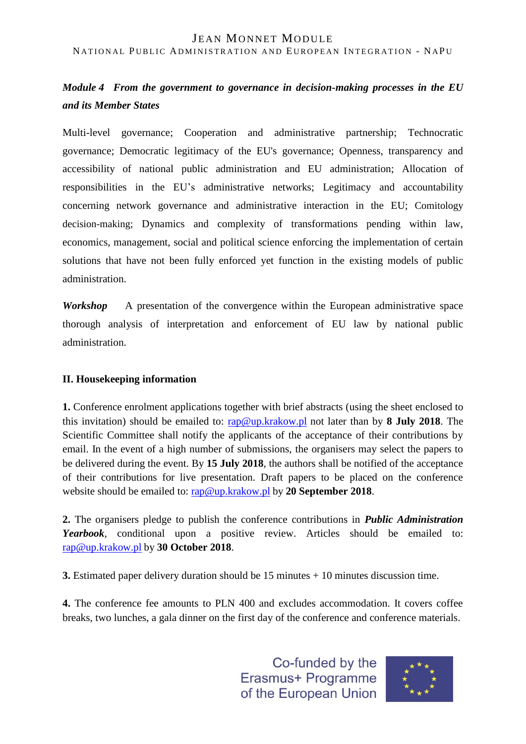### *Module 4 From the government to governance in decision-making processes in the EU and its Member States*

Multi-level governance; Cooperation and administrative partnership; Technocratic governance; Democratic legitimacy of the EU's governance; Openness, transparency and accessibility of national public administration and EU administration; Allocation of responsibilities in the EU's administrative networks; Legitimacy and accountability concerning network governance and administrative interaction in the EU; Comitology decision-making; Dynamics and complexity of transformations pending within law, economics, management, social and political science enforcing the implementation of certain solutions that have not been fully enforced yet function in the existing models of public administration.

*Workshop* A presentation of the convergence within the European administrative space thorough analysis of interpretation and enforcement of EU law by national public administration.

#### **II. Housekeeping information**

**1.** Conference enrolment applications together with brief abstracts (using the sheet enclosed to this invitation) should be emailed to: [rap@up.krakow.pl](mailto:rap@up.krakow.pl) not later than by **8 July 2018**. The Scientific Committee shall notify the applicants of the acceptance of their contributions by email. In the event of a high number of submissions, the organisers may select the papers to be delivered during the event. By **15 July 2018**, the authors shall be notified of the acceptance of their contributions for live presentation. Draft papers to be placed on the conference website should be emailed to: [rap@up.krakow.pl](mailto:rap@up.krakow.pl) by **20 September 2018**.

**2.** The organisers pledge to publish the conference contributions in *Public Administration Yearbook*, conditional upon a positive review. Articles should be emailed to: [rap@up.krakow.pl](mailto:rap@up.krakow.pl) by **30 October 2018**.

**3.** Estimated paper delivery duration should be  $15$  minutes  $+ 10$  minutes discussion time.

**4.** The conference fee amounts to PLN 400 and excludes accommodation. It covers coffee breaks, two lunches, a gala dinner on the first day of the conference and conference materials.

> Co-funded by the Erasmus+ Programme of the European Union